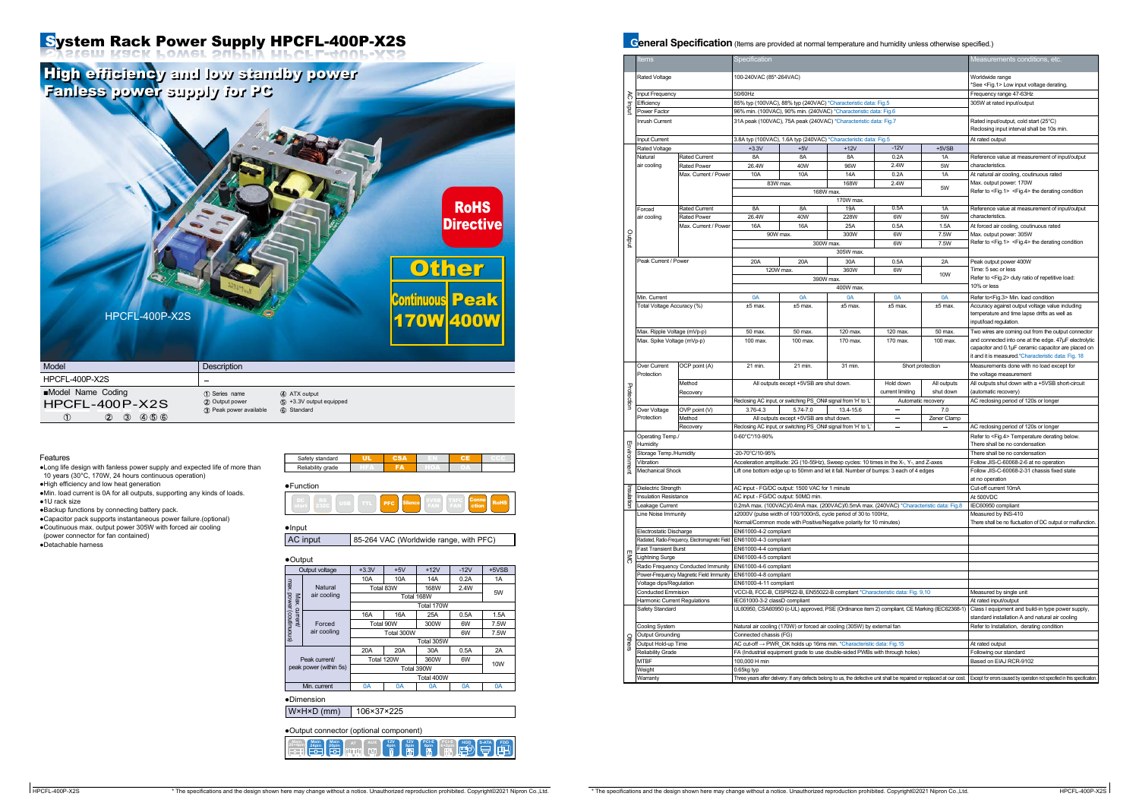High efficiency and low standby power Fanless power supply for PC High efficiency and low standby power Fanless power supply for PC

#### Features

- ●Long life design with fanless power supply and expected life of more than 10 years (30°C, 170W, 24 hours continuous operation)
- ●High efficiency and low heat generation
- ●Min. load current is 0A for all outputs, supporting any kinds of loads. ●1U rack size
- ●Backup functions by connecting battery pack.
- ●Capacitor pack supports instantaneous power failure.(optional)
- ●Coutinuous max. output power 305W with forced air cooling (power connector for fan contained)
- ●Detachable harness

|               | ltems                                |                                                  | Specification                                                                                                                                                                                    |                                                                               |                                                                                                                                                                                                      |                                                            |                                                 | Measurements conditions, etc.                                                         |  |
|---------------|--------------------------------------|--------------------------------------------------|--------------------------------------------------------------------------------------------------------------------------------------------------------------------------------------------------|-------------------------------------------------------------------------------|------------------------------------------------------------------------------------------------------------------------------------------------------------------------------------------------------|------------------------------------------------------------|-------------------------------------------------|---------------------------------------------------------------------------------------|--|
|               |                                      |                                                  |                                                                                                                                                                                                  |                                                                               |                                                                                                                                                                                                      |                                                            |                                                 |                                                                                       |  |
|               | <b>Rated Voltage</b>                 |                                                  | 100-240VAC (85*-264VAC)                                                                                                                                                                          |                                                                               |                                                                                                                                                                                                      |                                                            |                                                 | Worldwide range                                                                       |  |
|               |                                      |                                                  |                                                                                                                                                                                                  |                                                                               |                                                                                                                                                                                                      |                                                            |                                                 | *See <fig.1> Low input voltage derating.</fig.1>                                      |  |
| గె            | Input Frequency                      |                                                  | 50/60Hz                                                                                                                                                                                          |                                                                               |                                                                                                                                                                                                      |                                                            |                                                 | Frequency range 47-63Hz                                                               |  |
| Inqnl:        | Efficiency                           |                                                  |                                                                                                                                                                                                  |                                                                               | 85% typ (100VAC), 88% typ (240VAC) *Characteristic data: Fig.5                                                                                                                                       |                                                            |                                                 | 305W at rated input/output                                                            |  |
|               | Power Factor                         |                                                  |                                                                                                                                                                                                  |                                                                               | 96% min. (100VAC), 90% min. (240VAC) *Characteristic data: Fig.6                                                                                                                                     |                                                            |                                                 |                                                                                       |  |
|               | Inrush Current                       |                                                  |                                                                                                                                                                                                  |                                                                               | 31A peak (100VAC), 75A peak (240VAC) *Characteristic data: Fig.7                                                                                                                                     |                                                            |                                                 | Rated input/output, cold start (25°C)                                                 |  |
|               |                                      |                                                  |                                                                                                                                                                                                  |                                                                               |                                                                                                                                                                                                      |                                                            |                                                 | Reclosing input interval shall be 10s min.                                            |  |
|               | Input Current                        |                                                  | 3.8A typ (100VAC), 1.6A typ (240VAC) *Characteristic data: Fig.5                                                                                                                                 |                                                                               |                                                                                                                                                                                                      |                                                            |                                                 | At rated output                                                                       |  |
|               | Rated Voltage                        |                                                  | $+3.3V$                                                                                                                                                                                          | $+5V$                                                                         | $+12V$                                                                                                                                                                                               | $-12V$                                                     | +5VSB                                           |                                                                                       |  |
|               | Natural                              | Rated Current                                    | 8A                                                                                                                                                                                               | 8A                                                                            | 8A                                                                                                                                                                                                   | 0.2A                                                       | 1A                                              | Reference value at measurement of input/output                                        |  |
|               | air cooling                          | <b>Rated Power</b>                               | 26.4W                                                                                                                                                                                            | 40W                                                                           | 96W                                                                                                                                                                                                  | 2.4W                                                       | 5W                                              | characteristics.                                                                      |  |
|               |                                      | Max. Current / Power                             | 10A                                                                                                                                                                                              | 10A                                                                           | 14A                                                                                                                                                                                                  | 0.2A                                                       | 1A                                              | At natural air cooling, coutinuous rated                                              |  |
|               |                                      |                                                  | 83W max.                                                                                                                                                                                         |                                                                               | 168W                                                                                                                                                                                                 | 2.4W                                                       | 5W                                              | Max. output power: 170W                                                               |  |
|               |                                      |                                                  |                                                                                                                                                                                                  | 168W max.                                                                     | Refer to <fig.1> <fig.4> the derating condition</fig.4></fig.1>                                                                                                                                      |                                                            |                                                 |                                                                                       |  |
|               |                                      | <b>Rated Current</b>                             | 8A                                                                                                                                                                                               | 8A                                                                            | 170W max.<br>19A                                                                                                                                                                                     | 0.5A                                                       | 1A                                              |                                                                                       |  |
|               | Forced<br>air cooling                | <b>Rated Power</b>                               | 26.4W                                                                                                                                                                                            | 40W                                                                           | 228W                                                                                                                                                                                                 | 6W                                                         | 5W                                              | Reference value at measurement of input/output<br>characteristics.                    |  |
|               |                                      | Max. Current / Power                             | 16A                                                                                                                                                                                              | 16A                                                                           | 25A                                                                                                                                                                                                  | 0.5A                                                       | 1.5A                                            | At forced air cooling, coutinuous rated                                               |  |
|               |                                      |                                                  | 90W max.                                                                                                                                                                                         |                                                                               | 300W                                                                                                                                                                                                 | 6W                                                         | 7.5W                                            | Max. output power: 305W                                                               |  |
| Duput         |                                      |                                                  |                                                                                                                                                                                                  | 300W max.                                                                     |                                                                                                                                                                                                      | 6W                                                         | 7.5W                                            | Refer to <fig.1> <fig.4> the derating condition</fig.4></fig.1>                       |  |
|               |                                      |                                                  |                                                                                                                                                                                                  |                                                                               | 305W max.                                                                                                                                                                                            |                                                            |                                                 |                                                                                       |  |
|               | Peak Current / Power                 |                                                  | 20A                                                                                                                                                                                              | 20A                                                                           | 30A                                                                                                                                                                                                  | 0.5A                                                       | 2A                                              | Peak output power 400W                                                                |  |
|               |                                      |                                                  | 120W max.                                                                                                                                                                                        |                                                                               | 360W                                                                                                                                                                                                 | 6W                                                         |                                                 | Time: 5 sec or less                                                                   |  |
|               |                                      |                                                  |                                                                                                                                                                                                  | 390W max.                                                                     |                                                                                                                                                                                                      |                                                            | 10W                                             | Refer to <fig.2> duty ratio of repetitive load:</fig.2>                               |  |
|               |                                      |                                                  |                                                                                                                                                                                                  |                                                                               | 400W max.                                                                                                                                                                                            |                                                            |                                                 | 10% or less                                                                           |  |
|               | Min. Current                         |                                                  | 0A                                                                                                                                                                                               | 0A                                                                            | 0A                                                                                                                                                                                                   | 0A                                                         | 0A                                              | Refer to <fig.3> Min. load condition</fig.3>                                          |  |
|               | Total Voltage Accuracy (%)           |                                                  | $±5$ max.                                                                                                                                                                                        | $±5$ max.                                                                     | $±5$ max.                                                                                                                                                                                            | $±5$ max.                                                  | $±5$ max.                                       | Accuracy against output voltage value including                                       |  |
|               |                                      |                                                  |                                                                                                                                                                                                  |                                                                               |                                                                                                                                                                                                      |                                                            |                                                 | temperature and time lapse drifts as well as                                          |  |
|               |                                      |                                                  |                                                                                                                                                                                                  |                                                                               |                                                                                                                                                                                                      |                                                            |                                                 | input/load regulation.                                                                |  |
|               | Max. Ripple Voltage (mVp-p)          |                                                  | 50 max.                                                                                                                                                                                          | 50 max.                                                                       | 120 max.                                                                                                                                                                                             | 120 max.                                                   | 50 max.                                         | Two wires are coming out from the output connector                                    |  |
|               | Max. Spike Voltage (mVp-p)           |                                                  | 100 max.                                                                                                                                                                                         | 100 max.                                                                      | 170 max.                                                                                                                                                                                             | 170 max.                                                   | 100 max.                                        | and connected into one at the edge. 47µF electrolytic                                 |  |
|               |                                      |                                                  |                                                                                                                                                                                                  |                                                                               |                                                                                                                                                                                                      |                                                            |                                                 | capacitor and 0.1µF ceramic capacitor are placed on                                   |  |
|               |                                      |                                                  |                                                                                                                                                                                                  |                                                                               |                                                                                                                                                                                                      |                                                            |                                                 | it and it is measured.*Characteristic data: Fig. 18                                   |  |
|               | OCP point (A)<br>Over Current        |                                                  | 21 min.                                                                                                                                                                                          | 21 min.                                                                       | 31 min.                                                                                                                                                                                              |                                                            | Short protection                                | Measurements done with no load except for                                             |  |
|               | Protection                           |                                                  |                                                                                                                                                                                                  |                                                                               |                                                                                                                                                                                                      |                                                            |                                                 | the voltage measurement                                                               |  |
|               |                                      | Method                                           |                                                                                                                                                                                                  | All outputs except +5VSB are shut down.                                       |                                                                                                                                                                                                      | Hold down                                                  | All outputs                                     | All outputs shut down with a +5VSB short-circuit                                      |  |
| Protection    |                                      | Recovery                                         |                                                                                                                                                                                                  |                                                                               |                                                                                                                                                                                                      | current limiting                                           | shut down                                       | (automatic recovery)                                                                  |  |
|               | Over Voltage                         |                                                  | Reclosing AC input, or switching PS ON# signal from 'H' to 'L'                                                                                                                                   |                                                                               |                                                                                                                                                                                                      |                                                            | Automatic recovery                              | AC reclosing period of 120s or longer                                                 |  |
|               |                                      | OVP point (V)                                    | 3.76-4.3                                                                                                                                                                                         | 5.74-7.0                                                                      | 13.4-15.6                                                                                                                                                                                            | ÷.                                                         | 7.0                                             |                                                                                       |  |
|               | Protection                           | Method                                           |                                                                                                                                                                                                  | All outputs except +5VSB are shut down.                                       |                                                                                                                                                                                                      | $\qquad \qquad \longleftarrow$                             | Zener Clamp                                     |                                                                                       |  |
|               | Recovery                             |                                                  | Reclosing AC input, or switching PS_ON# signal from 'H' to 'L'<br>$\equiv$                                                                                                                       |                                                                               |                                                                                                                                                                                                      |                                                            |                                                 | AC reclosing period of 120s or longer                                                 |  |
|               | Operating Temp./                     |                                                  | 0-60°C*/10-90%                                                                                                                                                                                   |                                                                               |                                                                                                                                                                                                      |                                                            |                                                 | Refer to <fig.4> Temperature derating below.</fig.4>                                  |  |
| Environment   | Humidity                             |                                                  |                                                                                                                                                                                                  |                                                                               | There shall be no condensation                                                                                                                                                                       |                                                            |                                                 |                                                                                       |  |
|               | Storage Temp./Humidity               |                                                  | -20-70°C/10-95%<br>Acceleration amplitude: 2G (10-55Hz), Sweep cycles: 10 times in the X-, Y-, and Z-axes<br>Lift one bottom edge up to 50mm and let it fall. Number of bumps: 3 each of 4 edges |                                                                               |                                                                                                                                                                                                      |                                                            |                                                 | There shall be no condensation                                                        |  |
|               | Vibration<br><b>Mechanical Shock</b> |                                                  |                                                                                                                                                                                                  |                                                                               |                                                                                                                                                                                                      |                                                            |                                                 | Follow JIS-C-60068-2-6 at no operation<br>Follow JIS-C-60068-2-31 chassis fixed state |  |
|               |                                      |                                                  |                                                                                                                                                                                                  |                                                                               |                                                                                                                                                                                                      |                                                            |                                                 |                                                                                       |  |
|               | Dielectric Strength                  |                                                  |                                                                                                                                                                                                  |                                                                               |                                                                                                                                                                                                      |                                                            |                                                 | at no operation<br>Cut-off current 10mA                                               |  |
|               | <b>Insulation Resistance</b>         |                                                  | AC input - FG/DC output: 1500 VAC for 1 minute<br>AC input - FG/DC output: 50MΩ min.                                                                                                             |                                                                               |                                                                                                                                                                                                      |                                                            |                                                 | At 500VDC                                                                             |  |
| Insulation    | Leakage Current                      |                                                  | 0.2mA max. (100VAC)/0.4mA max. (200VAC)/0.5mA max. (240VAC) *Characteristic data: Fig.8                                                                                                          |                                                                               |                                                                                                                                                                                                      |                                                            |                                                 | IEC60950 compliant                                                                    |  |
|               | Line Noise Immunity                  |                                                  |                                                                                                                                                                                                  | ±2000V (pulse width of 100/1000nS, cycle period of 30 to 100Hz,               |                                                                                                                                                                                                      |                                                            |                                                 | Measured by INS-410                                                                   |  |
|               |                                      |                                                  | Normal/Common mode with Positive/Negative polarity for 10 minutes)                                                                                                                               |                                                                               |                                                                                                                                                                                                      | There shall be no fluctuation of DC output or malfunction. |                                                 |                                                                                       |  |
|               | Electrostatic Discharge              |                                                  | EN61000-4-2 compliant                                                                                                                                                                            |                                                                               |                                                                                                                                                                                                      |                                                            |                                                 |                                                                                       |  |
|               |                                      | Radiated, Radio-Frequency, Electromagnetic Field | EN61000-4-3 compliant                                                                                                                                                                            |                                                                               |                                                                                                                                                                                                      |                                                            |                                                 |                                                                                       |  |
|               | <b>Fast Transient Burst</b>          |                                                  | EN61000-4-4 compliant                                                                                                                                                                            |                                                                               |                                                                                                                                                                                                      |                                                            |                                                 |                                                                                       |  |
| <b>EMC</b>    | <b>Lightning Surge</b>               |                                                  | EN61000-4-5 compliant                                                                                                                                                                            |                                                                               |                                                                                                                                                                                                      |                                                            |                                                 |                                                                                       |  |
|               |                                      | Radio Frequency Conducted Immunity               | EN61000-4-6 compliant                                                                                                                                                                            |                                                                               |                                                                                                                                                                                                      |                                                            |                                                 |                                                                                       |  |
|               |                                      | Power-Frequency Magnetic Field Immunity          | EN61000-4-8 compliant                                                                                                                                                                            |                                                                               |                                                                                                                                                                                                      |                                                            |                                                 |                                                                                       |  |
|               | Voltage dips/Regulation              |                                                  | EN61000-4-11 compliant                                                                                                                                                                           |                                                                               |                                                                                                                                                                                                      |                                                            |                                                 |                                                                                       |  |
|               |                                      | <b>Conducted Emmision</b>                        |                                                                                                                                                                                                  | VCCI-B, FCC-B, CISPR22-B, EN55022-B compliant *Characteristic data: Fig. 9,10 | Measured by single unit                                                                                                                                                                              |                                                            |                                                 |                                                                                       |  |
|               | Harmonic Current Regulations         |                                                  | IEC61000-3-2 classD compliant                                                                                                                                                                    |                                                                               |                                                                                                                                                                                                      |                                                            |                                                 | At rated input/output                                                                 |  |
|               | Safety Standard                      |                                                  |                                                                                                                                                                                                  |                                                                               | UL60950, CSA60950 (c-UL) approved, PSE (Ordinance item 2) compliant, CE Marking (IEC62368-1)                                                                                                         |                                                            |                                                 | Class I equipment and build-in type power supply,                                     |  |
|               |                                      |                                                  |                                                                                                                                                                                                  |                                                                               |                                                                                                                                                                                                      |                                                            | standard installation A and natural air cooling |                                                                                       |  |
|               | Cooling System                       |                                                  | Natural air cooling (170W) or forced air cooling (305W) by external fan                                                                                                                          |                                                                               |                                                                                                                                                                                                      |                                                            | Refer to Installation, derating condition       |                                                                                       |  |
| <b>Others</b> | <b>Output Grounding</b>              |                                                  | Connected chassis (FG)                                                                                                                                                                           |                                                                               |                                                                                                                                                                                                      |                                                            |                                                 |                                                                                       |  |
|               | Output Hold-up Time                  |                                                  |                                                                                                                                                                                                  |                                                                               | AC cut-off → PWR_OK holds up 16ms min. *Characteristic data: Fig.15                                                                                                                                  |                                                            |                                                 | At rated output                                                                       |  |
|               | <b>Reliability Grade</b>             |                                                  |                                                                                                                                                                                                  |                                                                               | FA (Industrial equipment grade to use double-sided PWBs with through holes)                                                                                                                          |                                                            |                                                 | Following our standard                                                                |  |
|               | <b>MTBF</b><br>Weight                |                                                  | 100,000 H min                                                                                                                                                                                    |                                                                               |                                                                                                                                                                                                      |                                                            |                                                 | Based on EIAJ RCR-9102                                                                |  |
|               |                                      |                                                  | 0.65kg typ                                                                                                                                                                                       |                                                                               |                                                                                                                                                                                                      |                                                            |                                                 |                                                                                       |  |
|               | Warranty                             |                                                  |                                                                                                                                                                                                  |                                                                               | Three years after delivery: If any defects belong to us, the defective unit shall be repaired or replaced at our cost.<br>Except for errors caused by operation not specified in this specification. |                                                            |                                                 |                                                                                       |  |

#### ●Input

AC input 85-264 VAC (Worldwide range, with PFC)

#### ●Output

●Dimension

W×H×D (mm) 106×37×225

| Safety standard  |  |  |  |
|------------------|--|--|--|
| Reliabi<br>grade |  |  |  |

●Function

#### ●Output connector (optional component)



| Output voltage                |               | $+3.3V$            | $+5V$            | $+12V$     | $-12V$ | $+5VSB$ |  |
|-------------------------------|---------------|--------------------|------------------|------------|--------|---------|--|
|                               |               | 10A                | 10A              | 14A        | 0.2A   | 1A      |  |
| max.                          | Natural       | Total 83W<br>168W  |                  |            | 2.4W   |         |  |
| Max.                          | air cooling   |                    | 5W<br>Total 168W |            |        |         |  |
|                               |               |                    |                  | Total 170W |        |         |  |
| power (coutinuous)<br>current |               | 16A                | 16A              | 25A        | 0.5A   | 1.5A    |  |
|                               | Forced        | Total 90W<br>300W  |                  |            | 6W     | 7.5W    |  |
|                               | air cooling   | Total 300W         |                  |            | 6W     | 7.5W    |  |
|                               |               | Total 305W         |                  |            |        |         |  |
|                               |               | 20A                | 20A              | 30A        | 0.5A   | 2A      |  |
|                               | Peak current/ | Total 120W<br>360W |                  | 6W         |        |         |  |
| peak power (within 5s)        |               | Total 390W         |                  |            |        | 10W     |  |
|                               |               | Total 400W         |                  |            |        |         |  |
|                               | Min. current  | 0A                 | 0A               | 0A         | 0A     | 0A      |  |



**General Specification** (Items are provided at normal temperature and humidity unless otherwise specified.)

# S S ystem Rack Power Supply HPCFL-400P-X2S

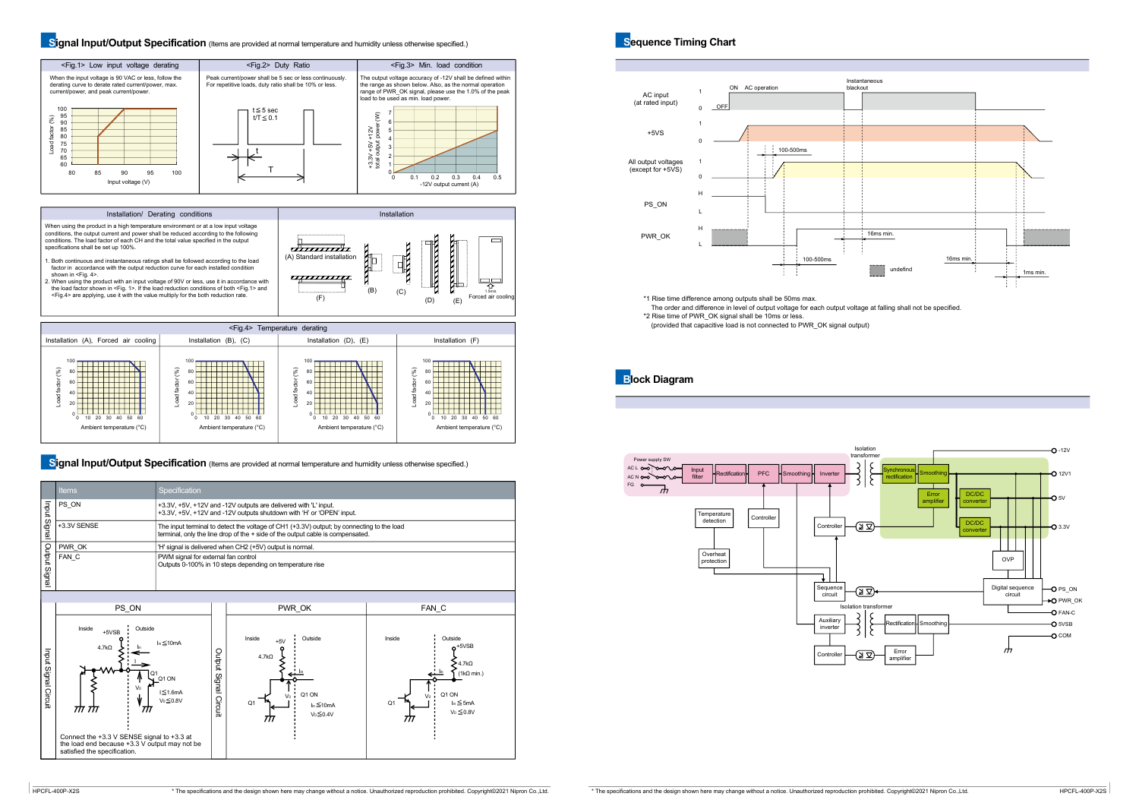## **Block Diagram**



\*1 Rise time difference among outputs shall be 50ms max.

 The order and difference in level of output voltage for each output voltage at falling shall not be specified. \*2 Rise time of PWR\_OK signal shall be 10ms or less.

(provided that capacitive load is not connected to PWR\_OK signal output)





## **Signal Input/Output Specification** (Items are provided at normal temperature and humidity unless otherwise specified.)



1.5m/s Forced air cooling

무준

 $\overline{\phantom{a}}$ 



## **Sequence Timing Chart**

## **Signal Input/Output Specification** (Items are provided at normal temperature and humidity unless otherwise specified.)

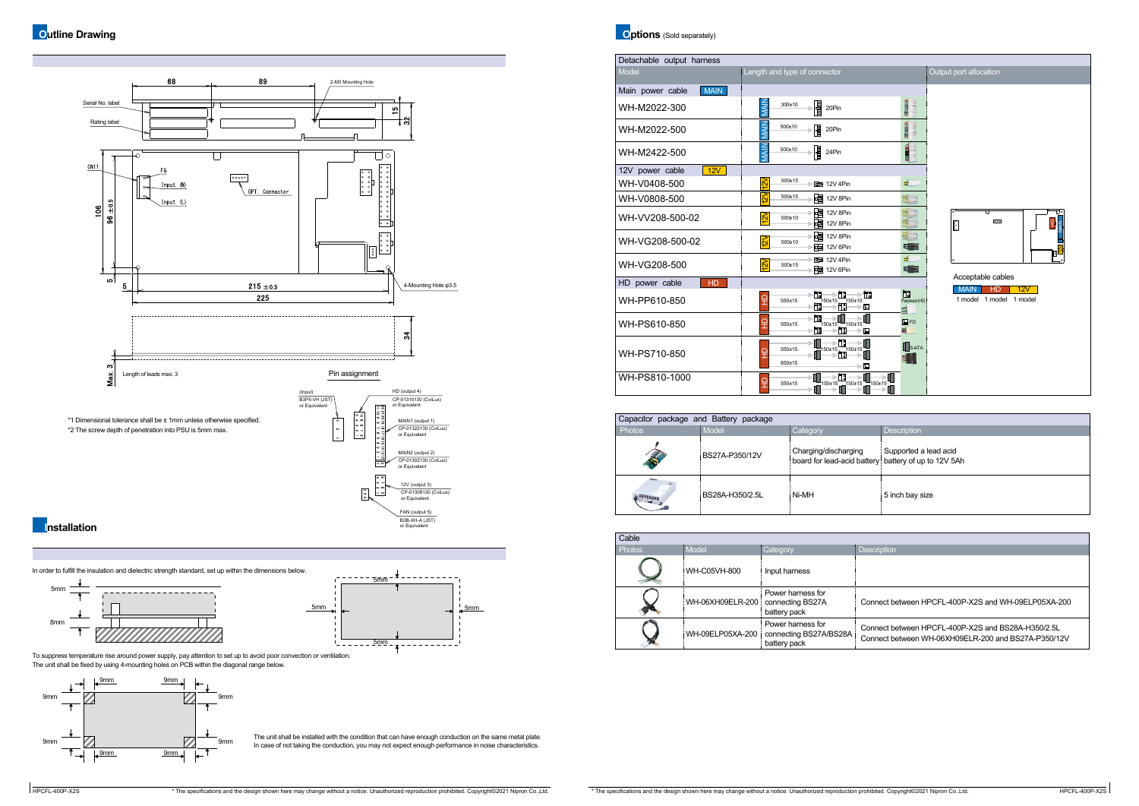| Detachable output harness       |                                                                                                                                 |                                                                                    |  |  |  |
|---------------------------------|---------------------------------------------------------------------------------------------------------------------------------|------------------------------------------------------------------------------------|--|--|--|
| Model                           | Length and type of connector                                                                                                    | Output port allocation                                                             |  |  |  |
| Main power cable<br><b>MAIN</b> |                                                                                                                                 |                                                                                    |  |  |  |
| WH-M2022-300                    | <b>MAIN</b><br>冒<br>300±10<br>20Pin                                                                                             | <b>DELLINER</b><br><b>THEFT</b>                                                    |  |  |  |
| WH-M2022-500                    | <b>MAIN</b><br>$500 + 10$<br>B<br>20Pin                                                                                         | линина<br><b>THE REAL</b>                                                          |  |  |  |
| WH-M2422-500                    | <b>MAIN</b><br>$\begin{array}{c} \mathbf{1} \end{array}$<br>$500 + 10$<br>24Pin                                                 | <b>WINDOW</b><br>E                                                                 |  |  |  |
| 12V power cable<br>12V          |                                                                                                                                 |                                                                                    |  |  |  |
| WH-V0408-500                    | 12V<br>$500 + 15$<br>□□ 12V 4Pin                                                                                                | ₹                                                                                  |  |  |  |
| WH-V0808-500                    | 12V<br>$500 + 15$<br>啫<br>12V 8Pin                                                                                              | ĘĒ                                                                                 |  |  |  |
| WH-VV208-500-02                 | 圉<br>12V 8Pin<br>12V<br>$500 + 10$<br>黾<br>12V 8Pin                                                                             | ਰ<br>ਹ∘<br><b>HIPIN</b><br>$\boxed{\text{or } \text{or}}$<br>$\lceil \cdot \rceil$ |  |  |  |
| WH-VG208-500-02                 | 啫<br>12V 8Pin<br>$\overline{2}$<br>$500 + 10$<br>唔<br>12V 6Pin                                                                  | $\frac{m}{m}$<br>€<br>$\mathbb{E}^{\sum\limits_{i=1}^{n}}$                         |  |  |  |
| WH-VG208-500                    | 画 12V 4Pin<br>$\frac{1}{2}$<br>$500 + 15$<br>中 12V 6Pin                                                                         | ₫.<br>毛産                                                                           |  |  |  |
| HD power cable<br>HD            |                                                                                                                                 | Acceptable cables<br><b>MAIN</b><br>12V<br>HD                                      |  |  |  |
| WH-PP610-850                    | 旭<br>$\begin{array}{c}\n 150 \pm 15 \\ \hline\n 150 \pm 15 \\ \hline\n 150 \pm 15\n \end{array}$<br>們<br>읖<br>550±15<br>ħ٦<br>口 | 訵<br>1 model 1 model 1 model<br>Peripheral (HD)<br>≦                               |  |  |  |
| WH-PS610-850                    | È٦<br>11<br>읖<br>550±15<br>$150 \pm 15$<br>150±15<br>Íß<br>ħΠ<br>口                                                              | $\Box$ FD<br>₹.                                                                    |  |  |  |
| WH-PS710-850                    | 們<br>$150 \pm 15$<br>$-150+15$<br>550±15<br>≏<br>Τ<br>850±15<br>口                                                               | $\left  \right $ S-ATA<br>E                                                        |  |  |  |
| WH-PS810-1000                   | 主<br>U<br>읖<br>550±15<br>$150\pm 15$ $150\pm 15$ $150\pm 15$                                                                    |                                                                                    |  |  |  |

5mm  $\frac{5 \text{mm}}{2}$   $\frac{1}{2}$  $\frac{5mm}{1}$   $\frac{5mm}{1}$ --------

## **Installation**

### In order to fulfill the insulation and dielectric strength standard, set up within the dimensions below.





| Cable  |                  |                                                             |                                                                                                           |  |  |
|--------|------------------|-------------------------------------------------------------|-----------------------------------------------------------------------------------------------------------|--|--|
| Photos | Model            | Category                                                    | Description                                                                                               |  |  |
|        | WH-C05VH-800     | Input harness                                               |                                                                                                           |  |  |
|        | WH-06XH09ELR-200 | Power harness for<br>connecting BS27A<br>battery pack       | Connect between HPCFL-400P-X2S and WH-09ELP05XA-200                                                       |  |  |
|        | WH-09ELP05XA-200 | Power harness for<br>connecting BS27A/BS28A<br>battery pack | Connect between HPCFL-400P-X2S and BS28A-H350/2.5L<br>Connect between WH-06XH09ELR-200 and BS27A-P350/12V |  |  |

To suppress temperature rise around power supply, pay attention to set up to avoid poor convection or ventilation. The unit shall be fixed by using 4-mounting holes on PCB within the diagonal range below.

> The unit shall be installed with the condition that can have enough conduction on the same metal plate. In case of not taking the conduction, you may not expect enough performance in noise characteristics.

# **Outline Drawing Conserversity Outline Drawing Conserversity Options** (Sold separately)

| Capacitor package and Battery package |                 |                                                                              |                       |  |
|---------------------------------------|-----------------|------------------------------------------------------------------------------|-----------------------|--|
| Photos                                | Model           | Category                                                                     | <b>Description</b>    |  |
| <b>AND</b>                            | BS27A-P350/12V  | Charging/discharging<br>board for lead-acid battery battery of up to 12V 5Ah | Supported a lead acid |  |
|                                       | BS28A-H350/2.5L | Ni-MH                                                                        | 5 inch bay size       |  |